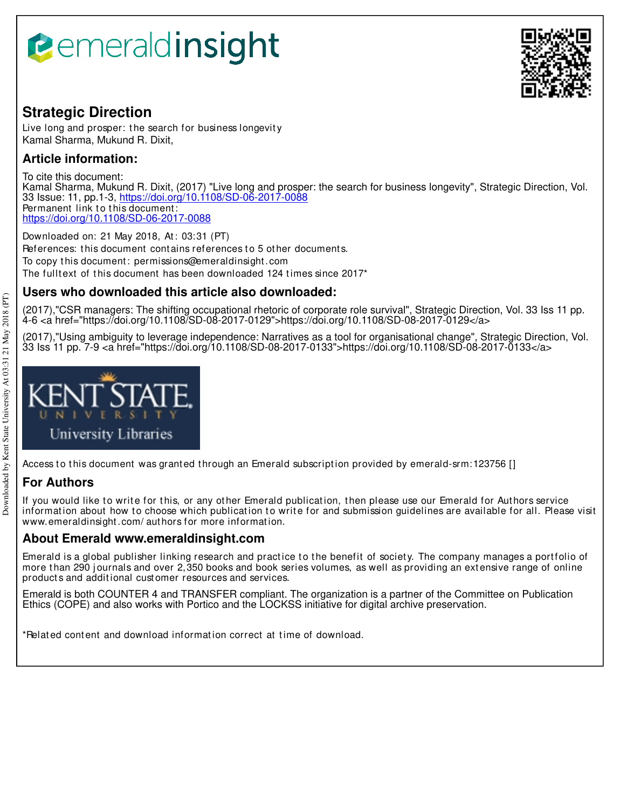# *<u><b>emeraldinsight</u>*



## **Strategic Direction**

Live long and prosper: the search for business longevity Kamal Sharma, Mukund R. Dixit,

## **Article information:**

To cite this document:

Kamal Sharma, Mukund R. Dixit, (2017) "Live long and prosper: the search for business longevity", Strategic Direction, Vol. 33 Issue: 11, pp.1-3, <u>https://doi.org/10.1108/SD-06-2017-0088</u> Permanent link to this document:

https://doi.org/10.1108/SD-06-2017-0088

Downloaded on: 21 May 2018, At : 03:31 (PT) References: this document contains references to 5 other documents. To copy t his document : permissions@emeraldinsight .com The fulltext of this document has been downloaded 124 times since 2017<sup>\*</sup>

## **Users who downloaded this article also downloaded:**

(2017),"CSR managers: The shifting occupational rhetoric of corporate role survival", Strategic Direction, Vol. 33 Iss 11 pp. 4-6 <a href="https://doi.org/10.1108/SD-08-2017-0129">https://doi.org/10.1108/SD-08-2017-0129</a>

(2017),"Using ambiguity to leverage independence: Narratives as a tool for organisational change", Strategic Direction, Vol. 33 Iss 11 pp. 7-9 <a href="https://doi.org/10.1108/SD-08-2017-0133">https://doi.org/10.1108/SD-08-2017-0133</a>



Access to this document was granted through an Emerald subscription provided by emerald-srm:123756 []

## **For Authors**

If you would like to write for this, or any other Emerald publication, then please use our Emerald for Authors service information about how to choose which publication to write for and submission guidelines are available for all. Please visit www.emeraldinsight.com/ authors for more information.

### **About Emerald www.emeraldinsight.com**

Emerald is a global publisher linking research and practice to the benefit of society. The company manages a portfolio of more than 290 journals and over 2,350 books and book series volumes, as well as providing an extensive range of online product s and addit ional cust omer resources and services.

Emerald is both COUNTER 4 and TRANSFER compliant. The organization is a partner of the Committee on Publication Ethics (COPE) and also works with Portico and the LOCKSS initiative for digital archive preservation.

\*Relat ed cont ent and download informat ion correct at t ime of download.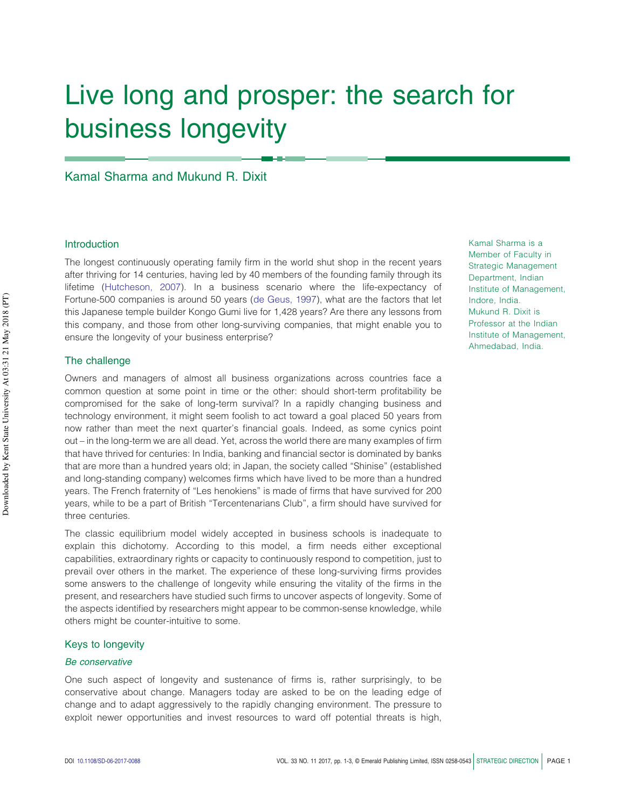## Live long and prosper: the search for business longevity

Kamal Sharma and Mukund R. Dixit

#### Introduction

The longest continuously operating family firm in the world shut shop in the recent years after thriving for 14 centuries, having led by 40 members of the founding family through its lifetime (Hutcheson, 2007). In a business scenario where the life-expectancy of Fortune-500 companies is around 50 years (de Geus, 1997), what are the factors that let this Japanese temple builder Kongo Gumi live for 1,428 years? Are there any lessons from this company, and those from other long-surviving companies, that might enable you to ensure the longevity of your business enterprise?

#### The challenge

Owners and managers of almost all business organizations across countries face a common question at some point in time or the other: should short-term profitability be compromised for the sake of long-term survival? In a rapidly changing business and technology environment, it might seem foolish to act toward a goal placed 50 years from now rather than meet the next quarter's financial goals. Indeed, as some cynics point out – in the long-term we are all dead. Yet, across the world there are many examples of firm that have thrived for centuries: In India, banking and financial sector is dominated by banks that are more than a hundred years old; in Japan, the society called "Shinise" (established and long-standing company) welcomes firms which have lived to be more than a hundred years. The French fraternity of "Les henokiens" is made of firms that have survived for 200 years, while to be a part of British "Tercentenarians Club", a firm should have survived for three centuries.

The classic equilibrium model widely accepted in business schools is inadequate to explain this dichotomy. According to this model, a firm needs either exceptional capabilities, extraordinary rights or capacity to continuously respond to competition, just to prevail over others in the market. The experience of these long-surviving firms provides some answers to the challenge of longevity while ensuring the vitality of the firms in the present, and researchers have studied such firms to uncover aspects of longevity. Some of the aspects identified by researchers might appear to be common-sense knowledge, while others might be counter-intuitive to some.

#### Keys to longevity

#### Be conservative

One such aspect of longevity and sustenance of firms is, rather surprisingly, to be conservative about change. Managers today are asked to be on the leading edge of change and to adapt aggressively to the rapidly changing environment. The pressure to exploit newer opportunities and invest resources to ward off potential threats is high,

Kamal Sharma is a Member of Faculty in Strategic Management Department, Indian Institute of Management, Indore, India. Mukund R. Dixit is Professor at the Indian Institute of Management, Ahmedabad, India.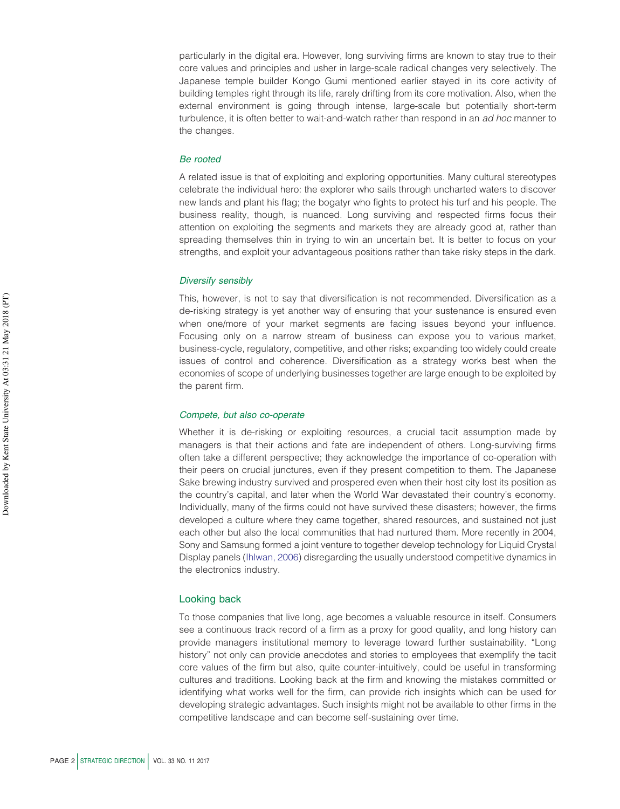particularly in the digital era. However, long surviving firms are known to stay true to their core values and principles and usher in large-scale radical changes very selectively. The Japanese temple builder Kongo Gumi mentioned earlier stayed in its core activity of building temples right through its life, rarely drifting from its core motivation. Also, when the external environment is going through intense, large-scale but potentially short-term turbulence, it is often better to wait-and-watch rather than respond in an *ad hoc* manner to the changes.

#### Be rooted

A related issue is that of exploiting and exploring opportunities. Many cultural stereotypes celebrate the individual hero: the explorer who sails through uncharted waters to discover new lands and plant his flag; the bogatyr who fights to protect his turf and his people. The business reality, though, is nuanced. Long surviving and respected firms focus their attention on exploiting the segments and markets they are already good at, rather than spreading themselves thin in trying to win an uncertain bet. It is better to focus on your strengths, and exploit your advantageous positions rather than take risky steps in the dark.

#### Diversify sensibly

This, however, is not to say that diversification is not recommended. Diversification as a de-risking strategy is yet another way of ensuring that your sustenance is ensured even when one/more of your market segments are facing issues beyond your influence. Focusing only on a narrow stream of business can expose you to various market, business-cycle, regulatory, competitive, and other risks; expanding too widely could create issues of control and coherence. Diversification as a strategy works best when the economies of scope of underlying businesses together are large enough to be exploited by the parent firm.

#### Compete, but also co-operate

Whether it is de-risking or exploiting resources, a crucial tacit assumption made by managers is that their actions and fate are independent of others. Long-surviving firms often take a different perspective; they acknowledge the importance of co-operation with their peers on crucial junctures, even if they present competition to them. The Japanese Sake brewing industry survived and prospered even when their host city lost its position as the country's capital, and later when the World War devastated their country's economy. Individually, many of the firms could not have survived these disasters; however, the firms developed a culture where they came together, shared resources, and sustained not just each other but also the local communities that had nurtured them. More recently in 2004, Sony and Samsung formed a joint venture to together develop technology for Liquid Crystal Display panels (Ihlwan, 2006) disregarding the usually understood competitive dynamics in the electronics industry.

#### Looking back

To those companies that live long, age becomes a valuable resource in itself. Consumers see a continuous track record of a firm as a proxy for good quality, and long history can provide managers institutional memory to leverage toward further sustainability. "Long history" not only can provide anecdotes and stories to employees that exemplify the tacit core values of the firm but also, quite counter-intuitively, could be useful in transforming cultures and traditions. Looking back at the firm and knowing the mistakes committed or identifying what works well for the firm, can provide rich insights which can be used for developing strategic advantages. Such insights might not be available to other firms in the competitive landscape and can become self-sustaining over time.